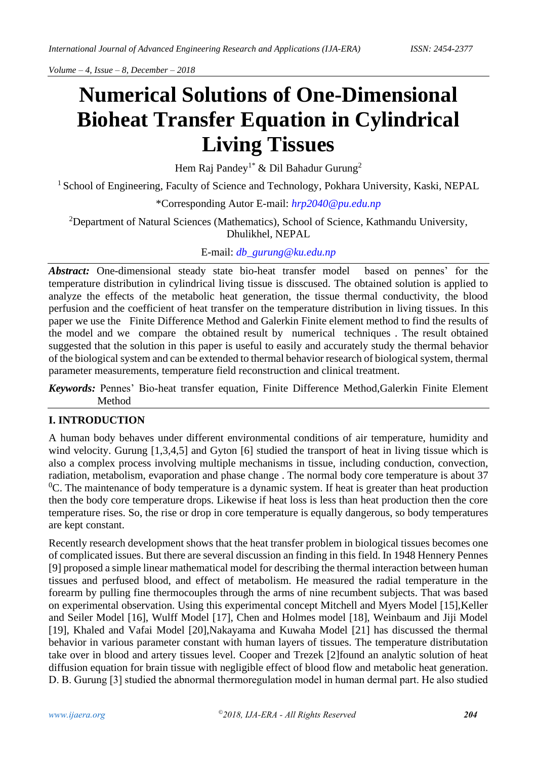# **Numerical Solutions of One-Dimensional Bioheat Transfer Equation in Cylindrical Living Tissues**

Hem Raj Pandey<sup>1\*</sup> & Dil Bahadur Gurung<sup>2</sup>

<sup>1</sup> School of Engineering, Faculty of Science and Technology, Pokhara University, Kaski, NEPAL

\*Corresponding Autor E-mail: *[hrp2040@pu.edu.np](mailto:hrp2040@pu.edu.np)*

<sup>2</sup>Department of Natural Sciences (Mathematics), School of Science, Kathmandu University, Dhulikhel, NEPAL

E-mail: *[db\\_gurung@ku.edu.np](mailto:db_gurung@ku.edu.np)*

*Abstract:* One-dimensional steady state bio-heat transfer model based on pennes' for the temperature distribution in cylindrical living tissue is disscused. The obtained solution is applied to analyze the effects of the metabolic heat generation, the tissue thermal conductivity, the blood perfusion and the coefficient of heat transfer on the temperature distribution in living tissues. In this paper we use the Finite Difference Method and Galerkin Finite element method to find the results of the model and we compare the obtained result by numerical techniques . The result obtained suggested that the solution in this paper is useful to easily and accurately study the thermal behavior of the biological system and can be extended to thermal behavior research of biological system, thermal parameter measurements, temperature field reconstruction and clinical treatment.

*Keywords:* Pennes' Bio-heat transfer equation, Finite Difference Method,Galerkin Finite Element Method

## **I. INTRODUCTION**

A human body behaves under different environmental conditions of air temperature, humidity and wind velocity. Gurung [1,3,4,5] and Gyton [6] studied the transport of heat in living tissue which is also a complex process involving multiple mechanisms in tissue, including conduction, convection, radiation, metabolism, evaporation and phase change . The normal body core temperature is about 37  ${}^{0}C$ . The maintenance of body temperature is a dynamic system. If heat is greater than heat production then the body core temperature drops. Likewise if heat loss is less than heat production then the core temperature rises. So, the rise or drop in core temperature is equally dangerous, so body temperatures are kept constant.

Recently research development shows that the heat transfer problem in biological tissues becomes one of complicated issues. But there are several discussion an finding in this field. In 1948 Hennery Pennes [9] proposed a simple linear mathematical model for describing the thermal interaction between human tissues and perfused blood, and effect of metabolism. He measured the radial temperature in the forearm by pulling fine thermocouples through the arms of nine recumbent subjects. That was based on experimental observation. Using this experimental concept Mitchell and Myers Model [15],Keller and Seiler Model [16], Wulff Model [17], Chen and Holmes model [18], Weinbaum and Jiji Model [19], Khaled and Vafai Model [20],Nakayama and Kuwaha Model [21] has discussed the thermal behavior in various parameter constant with human layers of tissues. The temperature distributation take over in blood and artery tissues level. Cooper and Trezek [2]found an analytic solution of heat diffusion equation for brain tissue with negligible effect of blood flow and metabolic heat generation. D. B. Gurung [3] studied the abnormal thermoregulation model in human dermal part. He also studied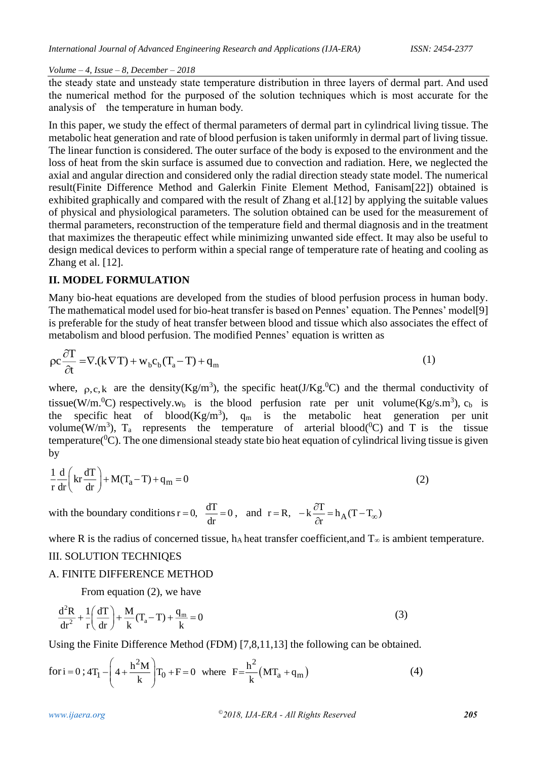the steady state and unsteady state temperature distribution in three layers of dermal part. And used the numerical method for the purposed of the solution techniques which is most accurate for the analysis of the temperature in human body.

In this paper, we study the effect of thermal parameters of dermal part in cylindrical living tissue. The metabolic heat generation and rate of blood perfusion is taken uniformly in dermal part of living tissue. The linear function is considered. The outer surface of the body is exposed to the environment and the loss of heat from the skin surface is assumed due to convection and radiation. Here, we neglected the axial and angular direction and considered only the radial direction steady state model. The numerical result(Finite Difference Method and Galerkin Finite Element Method, Fanisam[22]) obtained is exhibited graphically and compared with the result of Zhang et al.[12] by applying the suitable values of physical and physiological parameters. The solution obtained can be used for the measurement of thermal parameters, reconstruction of the temperature field and thermal diagnosis and in the treatment that maximizes the therapeutic effect while minimizing unwanted side effect. It may also be useful to design medical devices to perform within a special range of temperature rate of heating and cooling as Zhang et al. [12].

## **II. MODEL FORMULATION**

Many bio-heat equations are developed from the studies of blood perfusion process in human body. The mathematical model used for bio-heat transfer is based on Pennes' equation. The Pennes' model[9] is preferable for the study of heat transfer between blood and tissue which also associates the effect of metabolism and blood perfusion. The modified Pennes' equation is written as

$$
\rho c \frac{\partial T}{\partial t} = \nabla.(k \nabla T) + w_b c_b (T_a - T) + q_m
$$
\n(1)

where,  $\rho, c, k$  are the density(Kg/m<sup>3</sup>), the specific heat(J/Kg.<sup>0</sup>C) and the thermal conductivity of tissue(W/m.<sup>0</sup>C) respectively.w<sub>b</sub> is the blood perfusion rate per unit volume(Kg/s.m<sup>3</sup>), c<sub>b</sub> is the specific heat of blood( $Kg/m<sup>3</sup>$ ),  $q_m$  is the metabolic heat generation per unit volume(W/m<sup>3</sup>),  $T_a$  represents the temperature of arterial blood( ${}^{0}C$ ) and T is the tissue temperature( ${}^{0}C$ ). The one dimensional steady state bio heat equation of cylindrical living tissue is given by

$$
\frac{1}{r}\frac{d}{dr}\left(kr\frac{dT}{dr}\right) + M(T_a - T) + q_m = 0\tag{2}
$$

with the boundary conditions  $r = 0$ ,  $\frac{dT}{dr} = 0$ , and  $r = R$ ,  $-k\frac{\partial T}{\partial r} = h_A$  $r = R$ ,  $-k \frac{\partial T}{\partial r} = h_A (T - T_{\infty})$  $= R$ ,  $-k \frac{\partial T}{\partial r} = h_A (T -$ 

where R is the radius of concerned tissue, h<sub>A</sub> heat transfer coefficient, and  $T_{\infty}$  is ambient temperature.

#### III. SOLUTION TECHNIQES

## A. FINITE DIFFERENCE METHOD

From equation (2), we have

$$
\frac{d^2R}{dr^2} + \frac{1}{r} \left( \frac{dT}{dr} \right) + \frac{M}{k} (T_a - T) + \frac{q_m}{k} = 0
$$
\n(3)

Using the Finite Difference Method (FDM) [7,8,11,13] the following can be obtained.  
for 
$$
i = 0
$$
;  $4T_1 - \left(4 + \frac{h^2 M}{k}\right) T_0 + F = 0$  where  $F = \frac{h^2}{k} (MT_a + q_m)$  (4)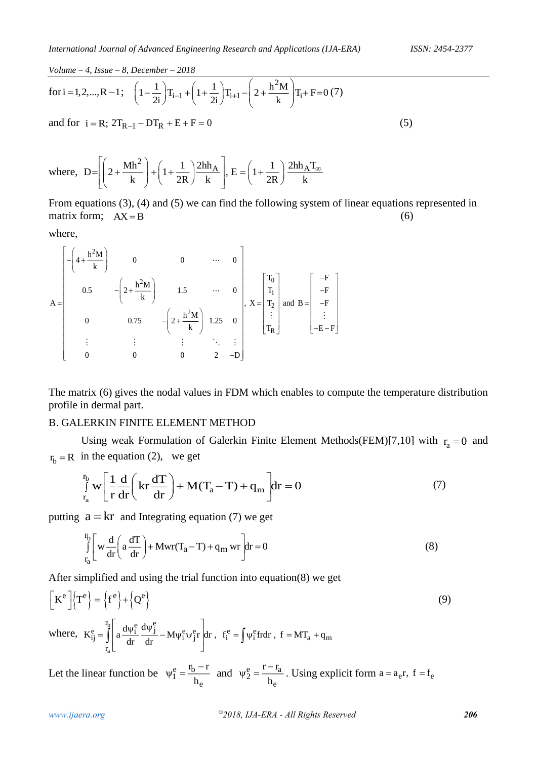for i = 1, 2, ..., R - 1; 
$$
\left(1 - \frac{1}{2i}\right)T_{i-1} + \left(1 + \frac{1}{2i}\right)T_{i+1} - \left(2 + \frac{h^2M}{k}\right)T_i + F = 0 (7)
$$
  
and for i = R;  $2T_{R-1} - DT_R + E + F = 0$  (5)

where,  $D = \left(2 + \frac{Mh^2}{k}\right) + \left(1 + \frac{1}{2R}\right)\frac{2hh_A}{k}$ ,  $E = \left(1 + \frac{1}{2R}\right)\frac{2hh_A T_s}{k}$  $\begin{bmatrix} 1 & 0 \\ 0 & 1 \end{bmatrix}$   $\begin{bmatrix} 1 & 1 \end{bmatrix}$  2hh<sub>A</sub> $\begin{bmatrix} 1 & 1 \end{bmatrix}$  2hh<sub>A</sub> $T_{\infty}$  $=\left[\left(2+\frac{WII}{k}\right)+\left(1+\frac{1}{2R}\right)\frac{2HII_{A}}{k}\right], E=\left(1+\frac{1}{2R}\right)$ 

From equations (3), (4) and (5) we can find the following system of linear equations represented in matrix form:  $AX = B$  $AX = B$  (6)

where,

$$
A = \begin{bmatrix} -\left(4 + \frac{h^2 M}{k}\right) & 0 & 0 & \cdots & 0 \\ 0.5 & -\left(2 + \frac{h^2 M}{k}\right) & 1.5 & \cdots & 0 \\ 0 & 0.75 & -\left(2 + \frac{h^2 M}{k}\right) & 1.25 & 0 \\ \vdots & \vdots & \vdots & \ddots & \vdots \\ 0 & 0 & 0 & 2 & -D \end{bmatrix}, X = \begin{bmatrix} T_0 \\ T_1 \\ T_2 \\ \vdots \\ T_R \end{bmatrix} \text{ and } B = \begin{bmatrix} -F \\ -F \\ -F \\ \vdots \\ -E - F \end{bmatrix}
$$

The matrix (6) gives the nodal values in FDM which enables to compute the temperature distribution profile in dermal part.

## B. GALERKIN FINITE ELEMENT METHOD

Using weak Formulation of Galerkin Finite Element Methods(FEM)[7,10] with  $r_a = 0$  and  $r_b = R$  in the equation (2), we get

$$
\int_{r_a}^{r_b} w \left[ \frac{1}{r} \frac{d}{dr} \left( kr \frac{dT}{dr} \right) + M(T_a - T) + q_m \right] dr = 0 \tag{7}
$$

putting  $a = kr$  and Integrating equation (7) we get

$$
\int_{r_a}^{r_b} \left[ w \frac{d}{dr} \left( a \frac{dT}{dr} \right) + Mwr(T_a - T) + q_m wr \right] dr = 0
$$
\n(8)

After simplified and using the trial function into equation(8) we get

$$
\begin{aligned}\n\left[K^{e}\right] & \left\{T^{e}\right\} = \left\{f^{e}\right\} + \left\{Q^{e}\right\} \\
\text{where, } K_{ij}^{e} & = \int_{r_{a}}^{r_{b}} \left[a\frac{d\psi_{i}^{e}}{dr}\frac{d\psi_{j}^{e}}{dr} - M\psi_{i}^{e}\psi_{j}^{e}r\right]dr, \quad f_{i}^{e} = \int \psi_{i}^{e}frdr, \quad f = MT_{a} + q_{m}\n\end{aligned} \tag{9}
$$

Let the linear function be  $\psi_1^e = \frac{p_b}{r_b}$ e  $\rm{r_{\rm h}}-r$ h  $\Psi_1^e = \frac{I_b - I}{I}$  and  $\Psi_2^e = \frac{I - I_a}{I}$ e r – r h  $\psi_2^e = \frac{1 - I_a}{I}$ . Using explicit form  $a = a_e r$ ,  $f = f_e$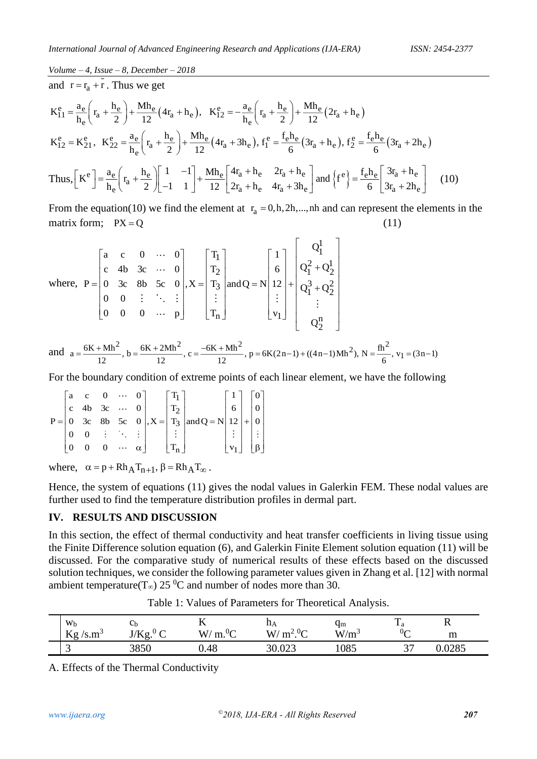and 
$$
r = r_a + r
$$
. Thus we get  
\n
$$
K_{11}^e = \frac{a_e}{h_e} \left( r_a + \frac{h_e}{2} \right) + \frac{Mh_e}{12} (4r_a + h_e), \quad K_{12}^e = -\frac{a_e}{h_e} \left( r_a + \frac{h_e}{2} \right) + \frac{Mh_e}{12} (2r_a + h_e)
$$
\n
$$
K_{12}^e = K_{21}^e, \quad K_{22}^e = \frac{a_e}{h_e} \left( r_a + \frac{h_e}{2} \right) + \frac{Mh_e}{12} (4r_a + 3h_e), \quad f_1^e = \frac{f_e h_e}{6} (3r_a + h_e), \quad f_2^e = \frac{f_e h_e}{6} (3r_a + 2h_e)
$$
\n
$$
\text{Thus, } \left[ K^e \right] = \frac{a_e}{h_e} \left( r_a + \frac{h_e}{2} \right) \left[ \frac{1}{-1} - 1 \right] + \frac{Mh_e}{12} \left[ \frac{4r_a + h_e}{2r_a + h_e} - \frac{2r_a + h_e}{4r_a + 3h_e} \right] \text{ and } \left\{ f^e \right\} = \frac{f_e h_e}{6} \left[ \frac{3r_a + h_e}{3r_a + 2h_e} \right] \tag{10}
$$

From the equation(10) we find the element at  $r_a = 0, h, 2h, ..., nh$  and can represent the elements in the matrix form;  $PX = Q$ (11)

where, 
$$
P = \begin{bmatrix} a & c & 0 & \cdots & 0 \\ c & 4b & 3c & \cdots & 0 \\ 0 & 3c & 8b & 5c & 0 \\ 0 & 0 & \vdots & \ddots & \vdots \\ 0 & 0 & 0 & \cdots & p \end{bmatrix}
$$
,  $X = \begin{bmatrix} T_1 \\ T_2 \\ T_3 \\ \vdots \\ T_n \end{bmatrix}$  and  $Q = N \begin{bmatrix} 1 \\ 6 \\ 12 \\ \vdots \\ 1 \end{bmatrix} + \begin{bmatrix} Q_1^1 \\ Q_1^2 + Q_2^1 \\ Q_1^3 + Q_2^2 \\ \vdots \\ Q_1^n \end{bmatrix}$   
and  $a = \frac{6K + Mh^2}{12}$ ,  $b = \frac{6K + 2Mh^2}{12}$ ,  $c = \frac{-6K + Mh^2}{12}$ ,  $p = 6K(2n-1) + ((4n-1)Mh^2)$ ,  $N = \frac{fh^2}{6}$ ,  $v_1 = (3n-1)$ 

For the boundary condition of extreme points of each linear element, we have the following

$$
P = \begin{bmatrix} a & c & 0 & \cdots & 0 \\ c & 4b & 3c & \cdots & 0 \\ 0 & 3c & 8b & 5c & 0 \\ 0 & 0 & \vdots & \ddots & \vdots \\ 0 & 0 & 0 & \cdots & \alpha \end{bmatrix}, X = \begin{bmatrix} T_1 \\ T_2 \\ T_3 \\ \vdots \\ T_n \end{bmatrix} and Q = N \begin{bmatrix} 1 \\ 6 \\ 12 \\ \vdots \\ Y_1 \end{bmatrix} + \begin{bmatrix} 0 \\ 0 \\ 0 \\ \vdots \\ 0 \end{bmatrix}
$$

where,  $\alpha = p + Rh_A T_{n+1}, \beta = Rh_A T_{\infty}$ .

Hence, the system of equations (11) gives the nodal values in Galerkin FEM. These nodal values are further used to find the temperature distribution profiles in dermal part.

#### **IV. RESULTS AND DISCUSSION**

In this section, the effect of thermal conductivity and heat transfer coefficients in living tissue using the Finite Difference solution equation (6), and Galerkin Finite Element solution equation (11) will be discussed. For the comparative study of numerical results of these effects based on the discussed solution techniques, we consider the following parameter values given in Zhang et al. [12] with normal ambient temperature(T<sub>∞</sub>) 25<sup>0</sup>C and number of nodes more than 30.

| Wb                                    | $c_{\rm b}$                                              | ŦZ                         | цΑ                                                       | Чm       | $- a$          | $\overline{\phantom{a}}$ |
|---------------------------------------|----------------------------------------------------------|----------------------------|----------------------------------------------------------|----------|----------------|--------------------------|
| $\sim$<br>$\mathbf{r}$<br>m-<br>0.111 | $\overline{\phantom{0}}$<br>$\mathbf{V}$<br>$\sim$<br>J. | $\sim 0$<br>$\rm W/$<br>m. | $\gamma$ 0 $\sim$<br>$X^{\prime}$<br>m <sup>2</sup><br>◡ | W/<br>/m | $0\sigma$<br>◡ | m                        |
| ັ                                     | 2050<br>ാറാധ                                             | .48                        | 0.22                                                     | 1085     | $\sim$<br>ັ    | 0.005                    |

Table 1: Values of Parameters for Theoretical Analysis.

A. Effects of the Thermal Conductivity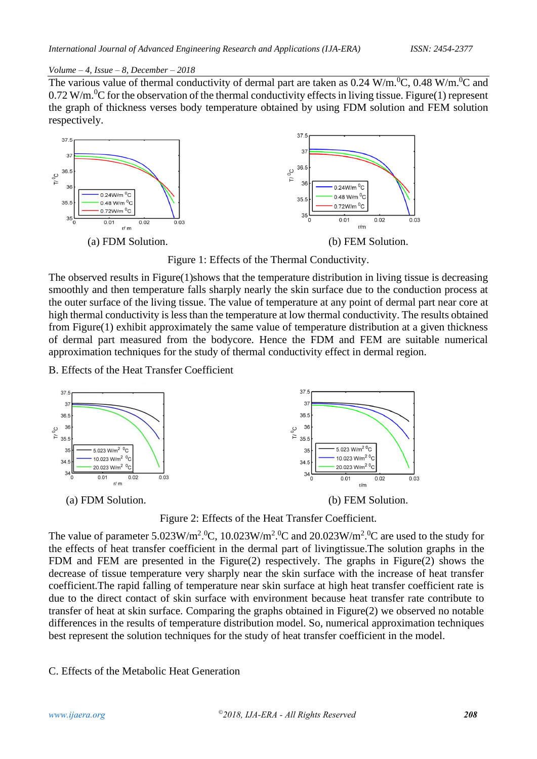The various value of thermal conductivity of dermal part are taken as  $0.24 \text{ W/m}$ .<sup>0</sup>C,  $0.48 \text{ W/m}$ .<sup>0</sup>C and  $0.72$  W/m.<sup>0</sup>C for the observation of the thermal conductivity effects in living tissue. Figure(1) represent the graph of thickness verses body temperature obtained by using FDM solution and FEM solution respectively.



Figure 1: Effects of the Thermal Conductivity.

The observed results in Figure(1)shows that the temperature distribution in living tissue is decreasing smoothly and then temperature falls sharply nearly the skin surface due to the conduction process at the outer surface of the living tissue. The value of temperature at any point of dermal part near core at high thermal conductivity is less than the temperature at low thermal conductivity. The results obtained from Figure(1) exhibit approximately the same value of temperature distribution at a given thickness of dermal part measured from the bodycore. Hence the FDM and FEM are suitable numerical approximation techniques for the study of thermal conductivity effect in dermal region.

B. Effects of the Heat Transfer Coefficient





The value of parameter  $5.023 \text{W/m}^2$ .<sup>0</sup>C,  $10.023 \text{W/m}^2$ .<sup>0</sup>C and  $20.023 \text{W/m}^2$ .<sup>0</sup>C are used to the study for the effects of heat transfer coefficient in the dermal part of livingtissue.The solution graphs in the FDM and FEM are presented in the Figure(2) respectively. The graphs in Figure(2) shows the decrease of tissue temperature very sharply near the skin surface with the increase of heat transfer coefficient.The rapid falling of temperature near skin surface at high heat transfer coefficient rate is due to the direct contact of skin surface with environment because heat transfer rate contribute to transfer of heat at skin surface. Comparing the graphs obtained in Figure(2) we observed no notable differences in the results of temperature distribution model. So, numerical approximation techniques best represent the solution techniques for the study of heat transfer coefficient in the model.

## C. Effects of the Metabolic Heat Generation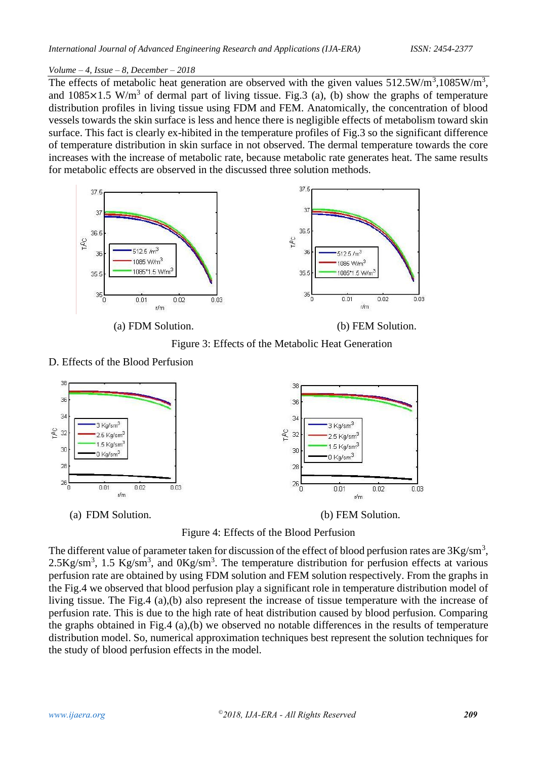The effects of metabolic heat generation are observed with the given values  $512.5 \text{W/m}^3$ ,  $1085 \text{W/m}^3$ , and  $1085 \times 1.5$  W/m<sup>3</sup> of dermal part of living tissue. Fig.3 (a), (b) show the graphs of temperature distribution profiles in living tissue using FDM and FEM. Anatomically, the concentration of blood vessels towards the skin surface is less and hence there is negligible effects of metabolism toward skin surface. This fact is clearly ex-hibited in the temperature profiles of Fig.3 so the significant difference of temperature distribution in skin surface in not observed. The dermal temperature towards the core increases with the increase of metabolic rate, because metabolic rate generates heat. The same results for metabolic effects are observed in the discussed three solution methods.



Figure 3: Effects of the Metabolic Heat Generation

## D. Effects of the Blood Perfusion



Figure 4: Effects of the Blood Perfusion

The different value of parameter taken for discussion of the effect of blood perfusion rates are  $3Kg/cm<sup>3</sup>$ ,  $2.5 \text{Kg/sm}^3$ , 1.5 Kg/sm<sup>3</sup>, and  $0 \text{Kg/sm}^3$ . The temperature distribution for perfusion effects at various perfusion rate are obtained by using FDM solution and FEM solution respectively. From the graphs in the Fig.4 we observed that blood perfusion play a significant role in temperature distribution model of living tissue. The Fig.4 (a),(b) also represent the increase of tissue temperature with the increase of perfusion rate. This is due to the high rate of heat distribution caused by blood perfusion. Comparing the graphs obtained in Fig.4 (a),(b) we observed no notable differences in the results of temperature distribution model. So, numerical approximation techniques best represent the solution techniques for the study of blood perfusion effects in the model.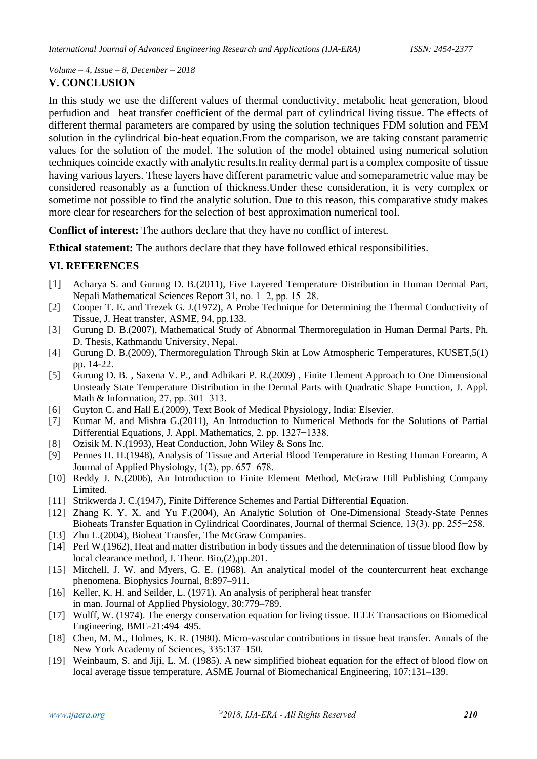#### **V. CONCLUSION**

In this study we use the different values of thermal conductivity, metabolic heat generation, blood perfudion and heat transfer coefficient of the dermal part of cylindrical living tissue. The effects of different thermal parameters are compared by using the solution techniques FDM solution and FEM solution in the cylindrical bio-heat equation.From the comparison, we are taking constant parametric values for the solution of the model. The solution of the model obtained using numerical solution techniques coincide exactly with analytic results.In reality dermal part is a complex composite of tissue having various layers. These layers have different parametric value and someparametric value may be considered reasonably as a function of thickness.Under these consideration, it is very complex or sometime not possible to find the analytic solution. Due to this reason, this comparative study makes more clear for researchers for the selection of best approximation numerical tool.

**Conflict of interest:** The authors declare that they have no conflict of interest.

**Ethical statement:** The authors declare that they have followed ethical responsibilities.

## **VI. REFERENCES**

- [1] Acharya S. and Gurung D. B.(2011), Five Layered Temperature Distribution in Human Dermal Part, Nepali Mathematical Sciences Report 31, no. 1−2, pp. 15−28.
- [2] Cooper T. E. and Trezek G. J.(1972), A Probe Technique for Determining the Thermal Conductivity of Tissue, J. Heat transfer, ASME, 94, pp.133.
- [3] Gurung D. B.(2007), Mathematical Study of Abnormal Thermoregulation in Human Dermal Parts, Ph. D. Thesis, Kathmandu University, Nepal.
- [4] Gurung D. B.(2009), Thermoregulation Through Skin at Low Atmospheric Temperatures, KUSET,5(1) pp. 14-22.
- [5] Gurung D. B. , Saxena V. P., and Adhikari P. R.(2009) , Finite Element Approach to One Dimensional Unsteady State Temperature Distribution in the Dermal Parts with Quadratic Shape Function, J. Appl. Math & Information, 27, pp. 301−313.
- [6] Guyton C. and Hall E.(2009), Text Book of Medical Physiology, India: Elsevier.
- [7] Kumar M. and Mishra G.(2011), An Introduction to Numerical Methods for the Solutions of Partial Differential Equations, J. Appl. Mathematics, 2, pp. 1327−1338.
- [8] Ozisik M. N.(1993), Heat Conduction, John Wiley & Sons Inc.
- [9] Pennes H. H.(1948), Analysis of Tissue and Arterial Blood Temperature in Resting Human Forearm, A Journal of Applied Physiology, 1(2), pp. 657−678.
- [10] Reddy J. N.(2006), An Introduction to Finite Element Method, McGraw Hill Publishing Company Limited.
- [11] Strikwerda J. C.(1947), Finite Difference Schemes and Partial Differential Equation.
- [12] Zhang K. Y. X. and Yu F.(2004), An Analytic Solution of One-Dimensional Steady-State Pennes Bioheats Transfer Equation in Cylindrical Coordinates, Journal of thermal Science, 13(3), pp. 255−258.
- [13] Zhu L.(2004), Bioheat Transfer, The McGraw Companies.
- [14] Perl W.(1962), Heat and matter distribution in body tissues and the determination of tissue blood flow by local clearance method, J. Theor. Bio,(2),pp.201.
- [15] Mitchell, J. W. and Myers, G. E. (1968). An analytical model of the countercurrent heat exchange phenomena. Biophysics Journal, 8:897–911.
- [16] Keller, K. H. and Seilder, L. (1971). An analysis of peripheral heat transfer in man. Journal of Applied Physiology, 30:779–789.
- [17] Wulff, W. (1974). The energy conservation equation for living tissue. IEEE Transactions on Biomedical Engineering, BME-21:494–495.
- [18] Chen, M. M., Holmes, K. R. (1980). Micro-vascular contributions in tissue heat transfer. Annals of the New York Academy of Sciences, 335:137–150.
- [19] Weinbaum, S. and Jiji, L. M. (1985). A new simplified bioheat equation for the effect of blood flow on local average tissue temperature. ASME Journal of Biomechanical Engineering, 107:131–139.